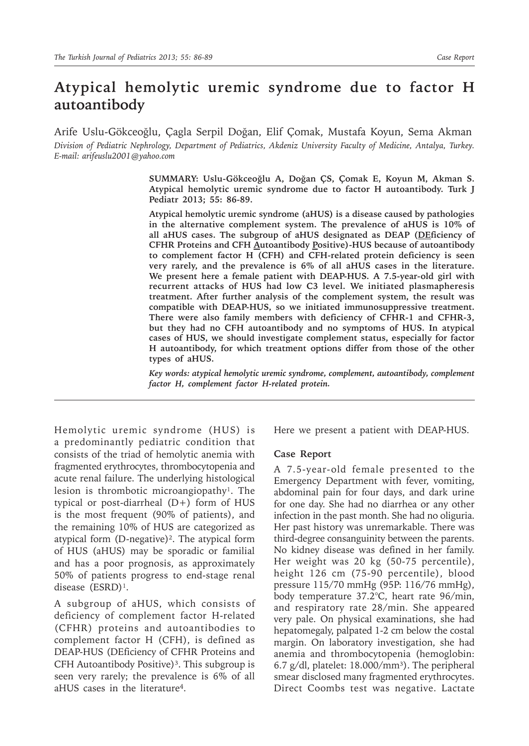# **Atypical hemolytic uremic syndrome due to factor H autoantibody**

Arife Uslu-Gökceoğlu, Çagla Serpil Doğan, Elif Çomak, Mustafa Koyun, Sema Akman *Division of Pediatric Nephrology, Department of Pediatrics, Akdeniz University Faculty of Medicine, Antalya, Turkey. E-mail: arifeuslu2001@yahoo.com*

> **SUMMARY: Uslu-Gökceoğlu A, Doğan ÇS, Çomak E, Koyun M, Akman S. Atypical hemolytic uremic syndrome due to factor H autoantibody. Turk J Pediatr 2013; 55: 86-89.**

> **Atypical hemolytic uremic syndrome (aHUS) is a disease caused by pathologies in the alternative complement system. The prevalence of aHUS is 10% of all aHUS cases. The subgroup of aHUS designated as DEAP (DEficiency of CFHR Proteins and CFH Autoantibody Positive)-HUS because of autoantibody to complement factor H (CFH) and CFH-related protein deficiency is seen very rarely, and the prevalence is 6% of all aHUS cases in the literature. We present here a female patient with DEAP-HUS. A 7.5-year-old girl with recurrent attacks of HUS had low C3 level. We initiated plasmapheresis treatment. After further analysis of the complement system, the result was compatible with DEAP-HUS, so we initiated immunosuppressive treatment. There were also family members with deficiency of CFHR-1 and CFHR-3, but they had no CFH autoantibody and no symptoms of HUS. In atypical cases of HUS, we should investigate complement status, especially for factor H autoantibody, for which treatment options differ from those of the other types of aHUS.**

> *Key words: atypical hemolytic uremic syndrome, complement, autoantibody, complement factor H, complement factor H-related protein.*

Hemolytic uremic syndrome (HUS) is a predominantly pediatric condition that consists of the triad of hemolytic anemia with fragmented erythrocytes, thrombocytopenia and acute renal failure. The underlying histological lesion is thrombotic microangiopathy<sup>1</sup>. The typical or post-diarrheal (D+) form of HUS is the most frequent (90% of patients), and the remaining 10% of HUS are categorized as atypical form (D-negative)². The atypical form of HUS (aHUS) may be sporadic or familial and has a poor prognosis, as approximately 50% of patients progress to end-stage renal disease (ESRD)<sup>1</sup>.

A subgroup of aHUS, which consists of deficiency of complement factor H-related (CFHR) proteins and autoantibodies to complement factor H (CFH), is defined as DEAP-HUS (DEficiency of CFHR Proteins and CFH Autoantibody Positive)<sup>3</sup>. This subgroup is seen very rarely; the prevalence is 6% of all aHUS cases in the literature<sup>4</sup>.

Here we present a patient with DEAP-HUS.

### **Case Report**

A 7.5-year-old female presented to the Emergency Department with fever, vomiting, abdominal pain for four days, and dark urine for one day. She had no diarrhea or any other infection in the past month. She had no oliguria. Her past history was unremarkable. There was third-degree consanguinity between the parents. No kidney disease was defined in her family. Her weight was 20 kg (50-75 percentile), height 126 cm (75-90 percentile), blood pressure 115/70 mmHg (95P: 116/76 mmHg), body temperature 37.2°C, heart rate 96/min, and respiratory rate 28/min. She appeared very pale. On physical examinations, she had hepatomegaly, palpated 1-2 cm below the costal margin. On laboratory investigation, she had anemia and thrombocytopenia (hemoglobin: 6.7 g/dl, platelet:  $18.000/mm^3$ ). The peripheral smear disclosed many fragmented erythrocytes. Direct Coombs test was negative. Lactate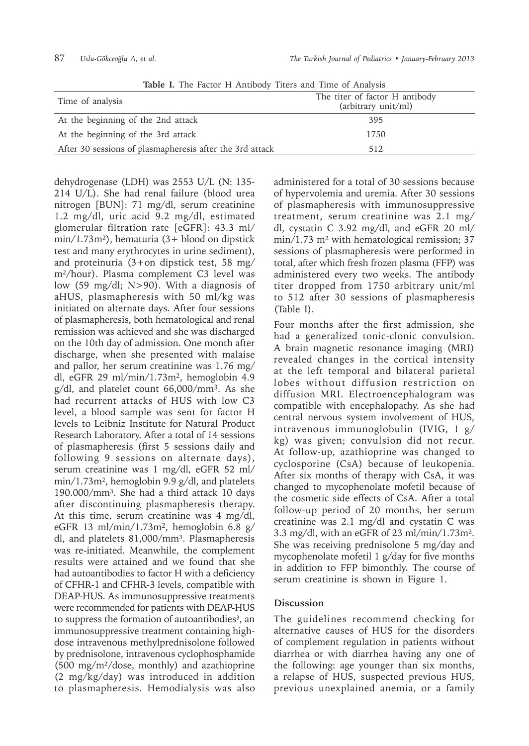| <b>ROIC B</b> THE FACTOR IT THRIDOGY TREED AND THIS OF THRIP OF |                                                       |
|-----------------------------------------------------------------|-------------------------------------------------------|
| Time of analysis                                                | The titer of factor H antibody<br>(arbitrary unit/ml) |
| At the beginning of the 2nd attack                              | 395                                                   |
| At the beginning of the 3rd attack                              | 1750                                                  |
| After 30 sessions of plasmapheresis after the 3rd attack        | 512                                                   |

**Table I.** The Factor H Antibody Titers and Time of Analysis

dehydrogenase (LDH) was 2553 U/L (N: 135- 214 U/L). She had renal failure (blood urea nitrogen [BUN]: 71 mg/dl, serum creatinine 1.2 mg/dl, uric acid 9.2 mg/dl, estimated glomerular filtration rate [eGFR]: 43.3 ml/ min/1.73m²), hematuria (3+ blood on dipstick test and many erythrocytes in urine sediment), and proteinuria (3+on dipstick test, 58 mg/ m²/hour). Plasma complement C3 level was low (59 mg/dl; N>90). With a diagnosis of aHUS, plasmapheresis with 50 ml/kg was initiated on alternate days. After four sessions of plasmapheresis, both hematological and renal remission was achieved and she was discharged on the 10th day of admission. One month after discharge, when she presented with malaise and pallor, her serum creatinine was 1.76 mg/ dl, eGFR 29 ml/min/1.73m2, hemoglobin 4.9 g/dl, and platelet count 66,000/mm3. As she had recurrent attacks of HUS with low C3 level, a blood sample was sent for factor H levels to Leibniz Institute for Natural Product Research Laboratory. After a total of 14 sessions of plasmapheresis (first 5 sessions daily and following 9 sessions on alternate days), serum creatinine was 1 mg/dl, eGFR 52 ml/ min/1.73m², hemoglobin 9.9 g/dl, and platelets 190.000/mm³. She had a third attack 10 days after discontinuing plasmapheresis therapy. At this time, serum creatinine was 4 mg/dl, eGFR 13 ml/min/1.73m2, hemoglobin 6.8 g/ dl, and platelets  $81,000/mm^3$ . Plasmapheresis was re-initiated. Meanwhile, the complement results were attained and we found that she had autoantibodies to factor H with a deficiency of CFHR-1 and CFHR-3 levels, compatible with DEAP-HUS. As immunosuppressive treatments were recommended for patients with DEAP-HUS to suppress the formation of autoantibodies<sup>3</sup>, an immunosuppressive treatment containing highdose intravenous methylprednisolone followed by prednisolone, intravenous cyclophosphamide (500 mg/m²/dose, monthly) and azathioprine (2 mg/kg/day) was introduced in addition to plasmapheresis. Hemodialysis was also

administered for a total of 30 sessions because of hypervolemia and uremia. After 30 sessions of plasmapheresis with immunosuppressive treatment, serum creatinine was 2.1 mg/ dl, cystatin C 3.92 mg/dl, and eGFR 20 ml/ min/1.73 m² with hematological remission; 37 sessions of plasmapheresis were performed in total, after which fresh frozen plasma (FFP) was administered every two weeks. The antibody titer dropped from 1750 arbitrary unit/ml to 512 after 30 sessions of plasmapheresis (Table I).

Four months after the first admission, she had a generalized tonic-clonic convulsion. A brain magnetic resonance imaging (MRI) revealed changes in the cortical intensity at the left temporal and bilateral parietal lobes without diffusion restriction on diffusion MRI. Electroencephalogram was compatible with encephalopathy. As she had central nervous system involvement of HUS, intravenous immunoglobulin (IVIG, 1 g/ kg) was given; convulsion did not recur. At follow-up, azathioprine was changed to cyclosporine (CsA) because of leukopenia. After six months of therapy with CsA, it was changed to mycophenolate mofetil because of the cosmetic side effects of CsA. After a total follow-up period of 20 months, her serum creatinine was 2.1 mg/dl and cystatin C was 3.3 mg/dl, with an eGFR of 23 ml/min/1.73m². She was receiving prednisolone 5 mg/day and mycophenolate mofetil 1 g/day for five months in addition to FFP bimonthly. The course of serum creatinine is shown in Figure 1.

## **Discussion**

The guidelines recommend checking for alternative causes of HUS for the disorders of complement regulation in patients without diarrhea or with diarrhea having any one of the following: age younger than six months, a relapse of HUS, suspected previous HUS, previous unexplained anemia, or a family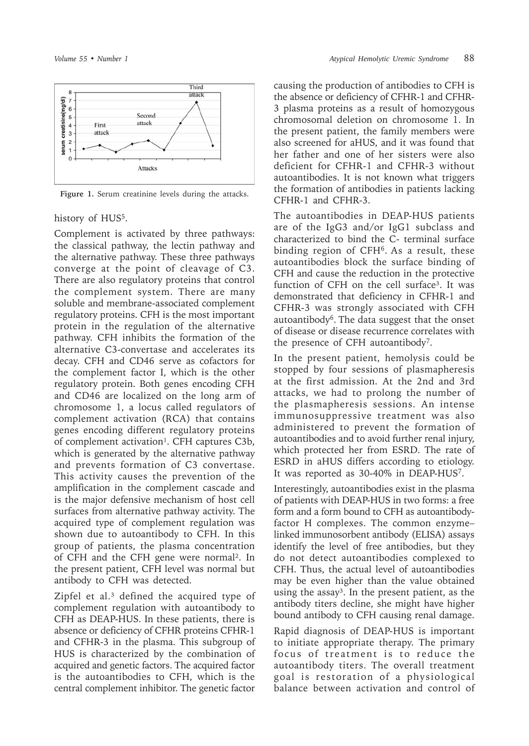

**Figure 1.** Serum creatinine levels during the attacks.

history of HUS<sup>5</sup>.

Complement is activated by three pathways: the classical pathway, the lectin pathway and the alternative pathway. These three pathways converge at the point of cleavage of C3. There are also regulatory proteins that control the complement system. There are many soluble and membrane-associated complement regulatory proteins. CFH is the most important protein in the regulation of the alternative pathway. CFH inhibits the formation of the alternative C3-convertase and accelerates its decay. CFH and CD46 serve as cofactors for the complement factor I, which is the other regulatory protein. Both genes encoding CFH and CD46 are localized on the long arm of chromosome 1, a locus called regulators of complement activation (RCA) that contains genes encoding different regulatory proteins of complement activation<sup>1</sup>. CFH captures C3b, which is generated by the alternative pathway and prevents formation of C3 convertase. This activity causes the prevention of the amplification in the complement cascade and is the major defensive mechanism of host cell surfaces from alternative pathway activity. The acquired type of complement regulation was shown due to autoantibody to CFH. In this group of patients, the plasma concentration of CFH and the CFH gene were normal². In the present patient, CFH level was normal but antibody to CFH was detected.

Zipfel et al.<sup>3</sup> defined the acquired type of complement regulation with autoantibody to CFH as DEAP-HUS. In these patients, there is absence or deficiency of CFHR proteins CFHR-1 and CFHR-3 in the plasma. This subgroup of HUS is characterized by the combination of acquired and genetic factors. The acquired factor is the autoantibodies to CFH, which is the central complement inhibitor. The genetic factor

causing the production of antibodies to CFH is the absence or deficiency of CFHR-1 and CFHR-3 plasma proteins as a result of homozygous chromosomal deletion on chromosome 1. In the present patient, the family members were also screened for aHUS, and it was found that her father and one of her sisters were also deficient for CFHR-1 and CFHR-3 without autoantibodies. It is not known what triggers the formation of antibodies in patients lacking CFHR-1 and CFHR-3.

The autoantibodies in DEAP-HUS patients are of the IgG3 and/or IgG1 subclass and characterized to bind the C- terminal surface binding region of CFH6. As a result, these autoantibodies block the surface binding of CFH and cause the reduction in the protective function of CFH on the cell surface<sup>3</sup>. It was demonstrated that deficiency in CFHR-1 and CFHR-3 was strongly associated with CFH autoantibody<sup>6</sup>. The data suggest that the onset of disease or disease recurrence correlates with the presence of CFH autoantibody7.

In the present patient, hemolysis could be stopped by four sessions of plasmapheresis at the first admission. At the 2nd and 3rd attacks, we had to prolong the number of the plasmapheresis sessions. An intense immunosuppressive treatment was also administered to prevent the formation of autoantibodies and to avoid further renal injury, which protected her from ESRD. The rate of ESRD in aHUS differs according to etiology. It was reported as 30-40% in DEAP-HUS7.

Interestingly, autoantibodies exist in the plasma of patients with DEAP-HUS in two forms: a free form and a form bound to CFH as autoantibodyfactor H complexes. The common enzyme– linked immunosorbent antibody (ELISA) assays identify the level of free antibodies, but they do not detect autoantibodies complexed to CFH. Thus, the actual level of autoantibodies may be even higher than the value obtained using the assay<sup>3</sup>. In the present patient, as the antibody titers decline, she might have higher bound antibody to CFH causing renal damage.

Rapid diagnosis of DEAP-HUS is important to initiate appropriate therapy. The primary focus of treatment is to reduce the autoantibody titers. The overall treatment goal is restoration of a physiological balance between activation and control of